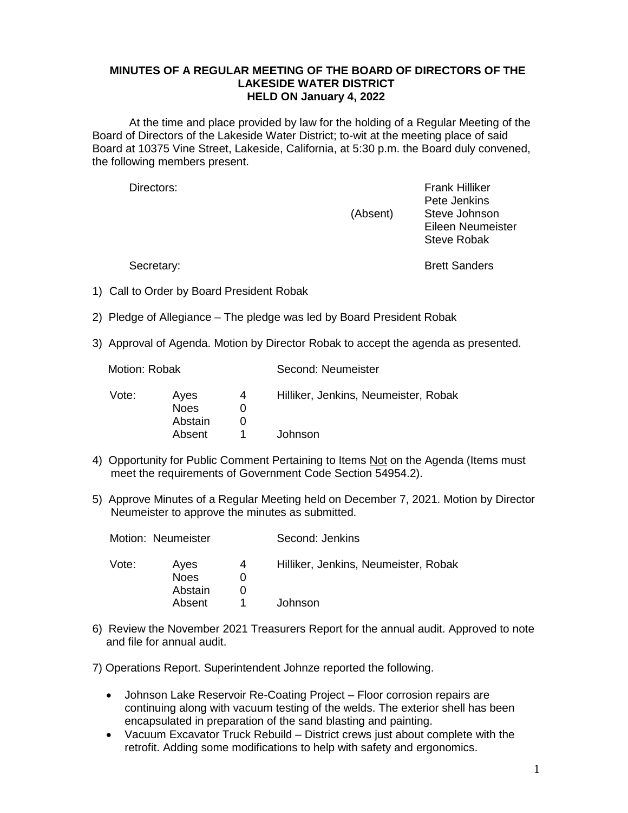## **MINUTES OF A REGULAR MEETING OF THE BOARD OF DIRECTORS OF THE LAKESIDE WATER DISTRICT HELD ON January 4, 2022**

At the time and place provided by law for the holding of a Regular Meeting of the Board of Directors of the Lakeside Water District; to-wit at the meeting place of said Board at 10375 Vine Street, Lakeside, California, at 5:30 p.m. the Board duly convened, the following members present.

Directors: Frank Hilliker Pete Jenkins (Absent) Steve Johnson Eileen Neumeister Steve Robak

Secretary: Secretary: **Brett Sanders** 

- 1) Call to Order by Board President Robak
- 2) Pledge of Allegiance The pledge was led by Board President Robak
- 3) Approval of Agenda. Motion by Director Robak to accept the agenda as presented.

| Vote: | Aves        | 4 | Hilliker, Jenkins, Neumeister, Robak |  |
|-------|-------------|---|--------------------------------------|--|
|       | <b>Noes</b> |   |                                      |  |
|       | Abstain     |   |                                      |  |
|       | Absent      |   | Johnson                              |  |
|       |             |   |                                      |  |

Motion: Robak Second: Neumeister

- 4) Opportunity for Public Comment Pertaining to Items Not on the Agenda (Items must meet the requirements of Government Code Section 54954.2).
- 5) Approve Minutes of a Regular Meeting held on December 7, 2021. Motion by Director Neumeister to approve the minutes as submitted.

| Motion: Neumeister |                                          |   | Second: Jenkins                                 |
|--------------------|------------------------------------------|---|-------------------------------------------------|
| Vote:              | Ayes<br><b>Noes</b><br>Abstain<br>Absent | 4 | Hilliker, Jenkins, Neumeister, Robak<br>Johnson |
|                    |                                          |   |                                                 |

6) Review the November 2021 Treasurers Report for the annual audit. Approved to note and file for annual audit.

7) Operations Report. Superintendent Johnze reported the following.

- Johnson Lake Reservoir Re-Coating Project Floor corrosion repairs are continuing along with vacuum testing of the welds. The exterior shell has been encapsulated in preparation of the sand blasting and painting.
- Vacuum Excavator Truck Rebuild District crews just about complete with the retrofit. Adding some modifications to help with safety and ergonomics.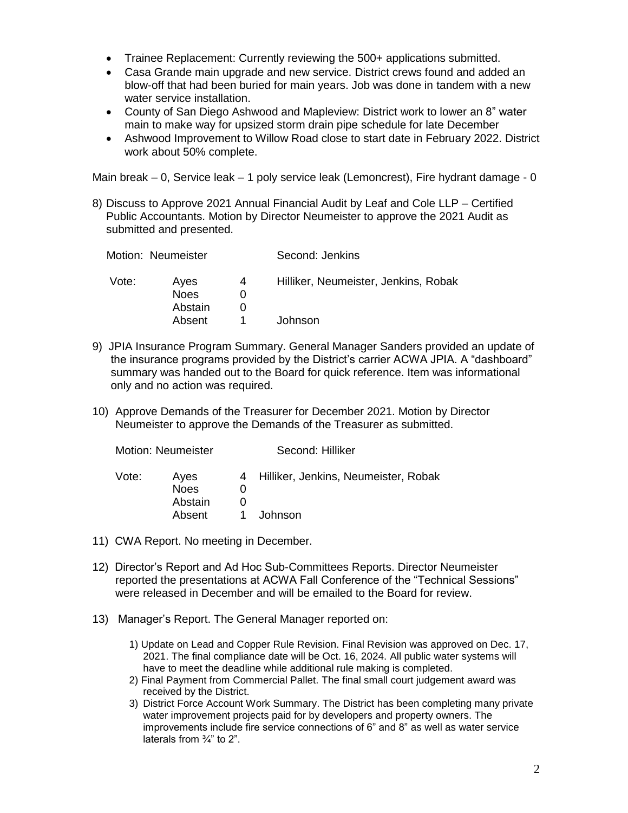- Trainee Replacement: Currently reviewing the 500+ applications submitted.
- Casa Grande main upgrade and new service. District crews found and added an blow-off that had been buried for main years. Job was done in tandem with a new water service installation.
- County of San Diego Ashwood and Mapleview: District work to lower an 8" water main to make way for upsized storm drain pipe schedule for late December
- Ashwood Improvement to Willow Road close to start date in February 2022. District work about 50% complete.

Main break – 0, Service leak – 1 poly service leak (Lemoncrest), Fire hydrant damage - 0

8) Discuss to Approve 2021 Annual Financial Audit by Leaf and Cole LLP – Certified Public Accountants. Motion by Director Neumeister to approve the 2021 Audit as submitted and presented.

| Motion: Neumeister |                                          |   | Second: Jenkins                                 |
|--------------------|------------------------------------------|---|-------------------------------------------------|
| Vote:              | Aves<br><b>Noes</b><br>Abstain<br>Absent | 4 | Hilliker, Neumeister, Jenkins, Robak<br>Johnson |

- 9) JPIA Insurance Program Summary. General Manager Sanders provided an update of the insurance programs provided by the District's carrier ACWA JPIA. A "dashboard" summary was handed out to the Board for quick reference. Item was informational only and no action was required.
- 10) Approve Demands of the Treasurer for December 2021. Motion by Director Neumeister to approve the Demands of the Treasurer as submitted.

|       | Motion: Neumeister             |  | Second: Hilliker                       |  |  |
|-------|--------------------------------|--|----------------------------------------|--|--|
| Vote: | Aves<br><b>Noes</b><br>Abstain |  | 4 Hilliker, Jenkins, Neumeister, Robak |  |  |
|       | Absent                         |  | Johnson                                |  |  |

- 11) CWA Report. No meeting in December.
- 12) Director's Report and Ad Hoc Sub-Committees Reports. Director Neumeister reported the presentations at ACWA Fall Conference of the "Technical Sessions" were released in December and will be emailed to the Board for review.
- 13) Manager's Report. The General Manager reported on:
	- 1) Update on Lead and Copper Rule Revision. Final Revision was approved on Dec. 17, 2021. The final compliance date will be Oct. 16, 2024. All public water systems will have to meet the deadline while additional rule making is completed.
	- 2) Final Payment from Commercial Pallet. The final small court judgement award was received by the District.
	- 3) District Force Account Work Summary. The District has been completing many private water improvement projects paid for by developers and property owners. The improvements include fire service connections of 6" and 8" as well as water service laterals from ¾" to 2".